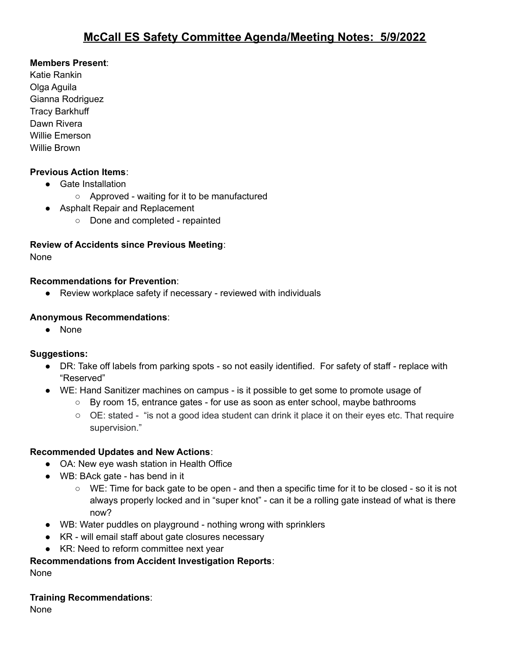### **Members Present**:

Katie Rankin Olga Aguila Gianna Rodriguez Tracy Barkhuff Dawn Rivera Willie Emerson Willie Brown

### **Previous Action Items**:

- Gate Installation
	- Approved waiting for it to be manufactured
- Asphalt Repair and Replacement
	- Done and completed repainted

# **Review of Accidents since Previous Meeting**:

None

#### **Recommendations for Prevention**:

● Review workplace safety if necessary - reviewed with individuals

#### **Anonymous Recommendations**:

● None

#### **Suggestions:**

- DR: Take off labels from parking spots so not easily identified. For safety of staff replace with "Reserved"
- WE: Hand Sanitizer machines on campus is it possible to get some to promote usage of
	- By room 15, entrance gates for use as soon as enter school, maybe bathrooms
	- OE: stated "is not a good idea student can drink it place it on their eyes etc. That require supervision."

## **Recommended Updates and New Actions**:

- OA: New eye wash station in Health Office
- WB: BAck gate has bend in it
	- WE: Time for back gate to be open and then a specific time for it to be closed so it is not always properly locked and in "super knot" - can it be a rolling gate instead of what is there now?
- WB: Water puddles on playground nothing wrong with sprinklers
- KR will email staff about gate closures necessary
- **●** KR: Need to reform committee next year

## **Recommendations from Accident Investigation Reports**:

None

## **Training Recommendations**:

**None**